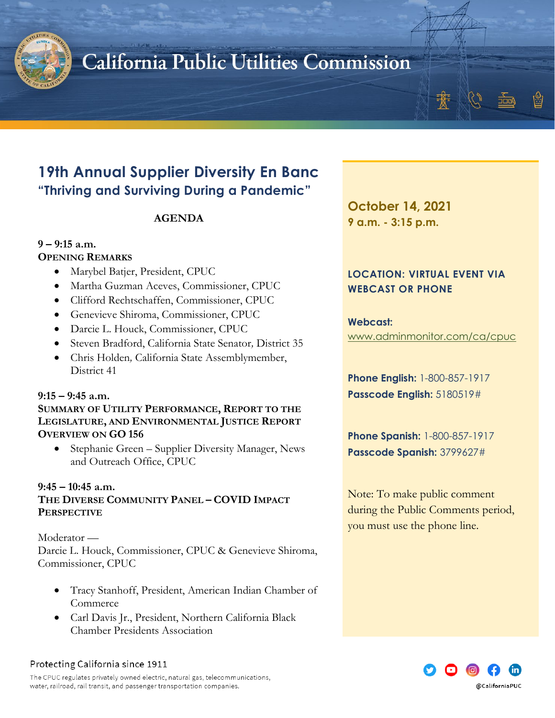

# California Public Utilities Commission

### **19th Annual Supplier Diversity En Banc "Thriving and Surviving During a Pandemic"**

#### **AGENDA**

#### **9 – 9:15 a.m. OPENING REMARKS**

- Marybel Batjer, President, CPUC
- Martha Guzman Aceves, Commissioner, CPUC
- Clifford Rechtschaffen, Commissioner, CPUC
- Genevieve Shiroma, Commissioner, CPUC
- Darcie L. Houck, Commissioner, CPUC
- Steven Bradford, California State Senator*,* District 35
- Chris Holden*,* California State Assemblymember, District 41

#### **9:15 – 9:45 a.m.**

**SUMMARY OF UTILITY PERFORMANCE, REPORT TO THE LEGISLATURE, AND ENVIRONMENTAL JUSTICE REPORT OVERVIEW ON GO 156**

• Stephanie Green – Supplier Diversity Manager, News and Outreach Office, CPUC

#### **9:45 – 10:45 a.m.**

**THE DIVERSE COMMUNITY PANEL – COVID IMPACT PERSPECTIVE**

#### Moderator —

Darcie L. Houck, Commissioner, CPUC & Genevieve Shiroma, Commissioner, CPUC

- Tracy Stanhoff, President, American Indian Chamber of **Commerce**
- Carl Davis Jr., President, Northern California Black Chamber Presidents Association

#### Protecting California since 1911

The CPUC regulates privately owned electric, natural gas, telecommunications, water, railroad, rail transit, and passenger transportation companies.

**October 14, 2021 9 a.m. - 3:15 p.m.**

### **LOCATION: VIRTUAL EVENT VIA WEBCAST OR PHONE**

#### **Webcast:** [www.adminmonitor.com/ca/cpuc](http://www.adminmonitor.com/ca/cpuc)

**Phone English:** 1-800-857-1917 **Passcode English:** 5180519#

**Phone Spanish:** 1-800-857-1917 **Passcode Spanish:** 3799627#

Note: To make public comment during the Public Comments period, you must use the phone line.

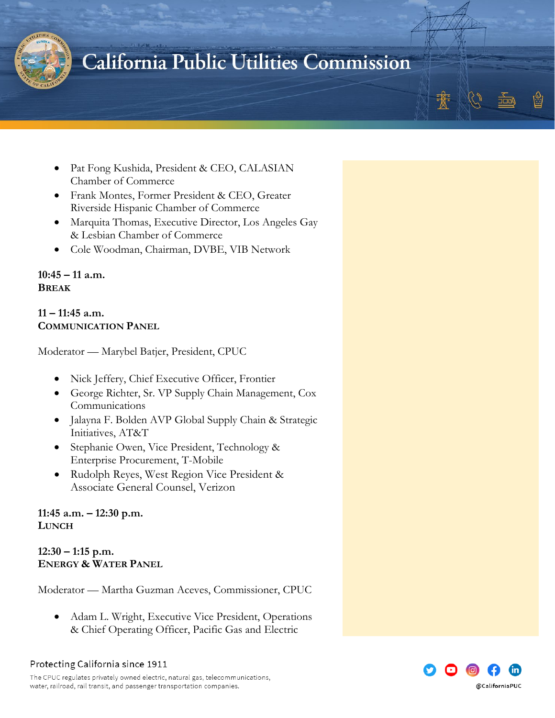

### California Public Utilities Commission

- Pat Fong Kushida, President & CEO, CALASIAN Chamber of Commerce
- Frank Montes, Former President & CEO, Greater Riverside Hispanic Chamber of Commerce
- Marquita Thomas, Executive Director, Los Angeles Gay & Lesbian Chamber of Commerce
- Cole Woodman, Chairman, DVBE, VIB Network

**10:45 – 11 a.m. BREAK**

#### **11 – 11:45 a.m. COMMUNICATION PANEL**

Moderator — Marybel Batjer, President, CPUC

- Nick Jeffery, Chief Executive Officer, Frontier
- George Richter, Sr. VP Supply Chain Management, Cox Communications
- Jalayna F. Bolden AVP Global Supply Chain & Strategic Initiatives, AT&T
- Stephanie Owen, Vice President, Technology & Enterprise Procurement, T-Mobile
- Rudolph Reyes, West Region Vice President & Associate General Counsel, Verizon

**11:45 a.m. – 12:30 p.m. LUNCH**

**12:30 – 1:15 p.m. ENERGY & WATER PANEL**

Moderator — Martha Guzman Aceves, Commissioner, CPUC

• Adam L. Wright, Executive Vice President, Operations & Chief Operating Officer, Pacific Gas and Electric

Protecting California since 1911

The CPUC regulates privately owned electric, natural gas, telecommunications, water, railroad, rail transit, and passenger transportation companies.